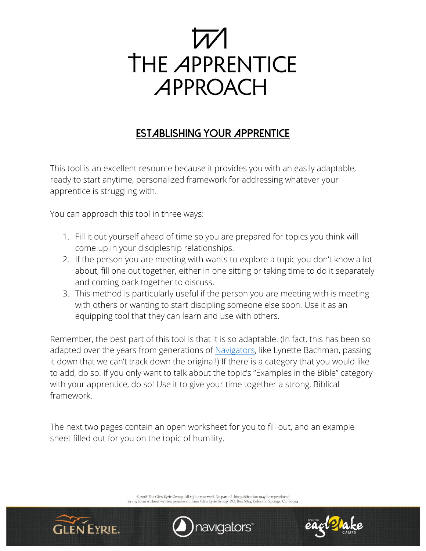

# **Establishing Your Apprentice**

This tool is an excellent resource because it provides you with an easily adaptable, ready to start anytime, personalized framework for addressing whatever your apprentice is struggling with.

You can approach this tool in three ways:

- 1. Fill it out yourself ahead of time so you are prepared for topics you think will come up in your discipleship relationships.
- 2. If the person you are meeting with wants to explore a topic you don't know a lot about, fill one out together, either in one sitting or taking time to do it separately and coming back together to discuss.
- 3. This method is particularly useful if the person you are meeting with is meeting with others or wanting to start discipling someone else soon. Use it as an equipping tool that they can learn and use with others.

Remember, the best part of this tool is that it is so adaptable. (In fact, this has been so adapted over the years from generations of [Navigators,](https://www.navigators.org/) like Lynette Bachman, passing it down that we can't track down the original!) If there is a category that you would like to add, do so! If you only want to talk about the topic's "Examples in the Bible" category with your apprentice, do so! Use it to give your time together a strong, Biblical framework.

The next two pages contain an open worksheet for you to fill out, and an example sheet filled out for you on the topic of humility.

 $\circledcirc$  2018 The Glen Eyrie Group. All rights reserved. No part of this publication may be reproduced<br>in any form without written permission from Glen Eyrie Group. P.O. Box 6819, Colorado Springs, CO 80934





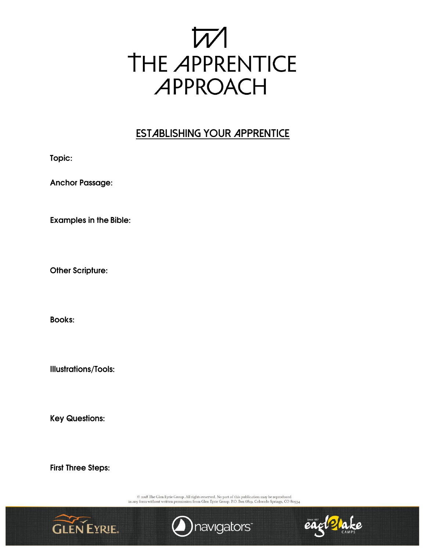

### **ESTABLISHING YOUR APPRENTICE**

Topic:

**Anchor Passage:** 

**Examples in the Bible:** 

**Other Scripture:** 

**Books:** 

**Illustrations/Tools:** 

**Key Questions:** 

**First Three Steps:** 

 $\odot$  2018 The Glen Eyrie Group. All rights reserved. No part of this publication may be reproduced in any form without written permission from Glen Eyrie Group. P.O. Box 6819, Colorado Springs, CO 80934





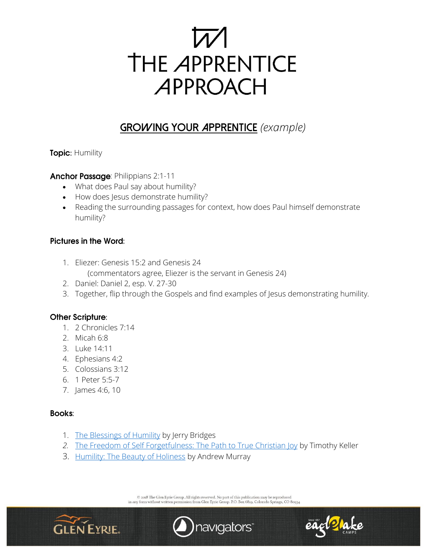

# **GROWING YOUR APPRENTICE** *(example)*

**Topic: Humility** 

Anchor Passage: Philippians 2:1-11

- What does Paul say about humility?
- How does Jesus demonstrate humility?
- Reading the surrounding passages for context, how does Paul himself demonstrate humility?

### **Pictures in the Word:**

- 1. Eliezer: Genesis 15:2 and Genesis 24 (commentators agree, Eliezer is the servant in Genesis 24)
- 2. Daniel: Daniel 2, esp. V. 27-30
- 3. Together, flip through the Gospels and find examples of Jesus demonstrating humility.

### **Other Scripture:**

- 1. 2 Chronicles 7:14
- 2. Micah 6:8
- 3. Luke 14:11
- 4. Ephesians 4:2
- 5. Colossians 3:12
- 6. 1 Peter 5:5-7
- 7. James 4:6, 10

#### **Books:**

- 1. [The Blessings of Humility](https://www.navpress.com/p/the-blessing-of-humility/9781631466236) by Jerry Bridges
- *2.* [The Freedom of Self Forgetfulness: The](https://www.amazon.com/Freedom-Self-Forgetfulness-Path-Christian/dp/1906173419) Path to True Christian Joy by Timothy Keller
- 3. [Humility: The Beauty of Holiness](https://www.amazon.com/Humility-Beauty-Holiness-Andrew-Murray/dp/1502559560) by Andrew Murray

 $\circledcirc$  2018 The Glen Eyrie Group. All rights reserved. No part of this publication may be reproduced<br>in any form without written permission from Glen Eyrie Group. P.O. Box 6819, Colorado Springs, CO 80934